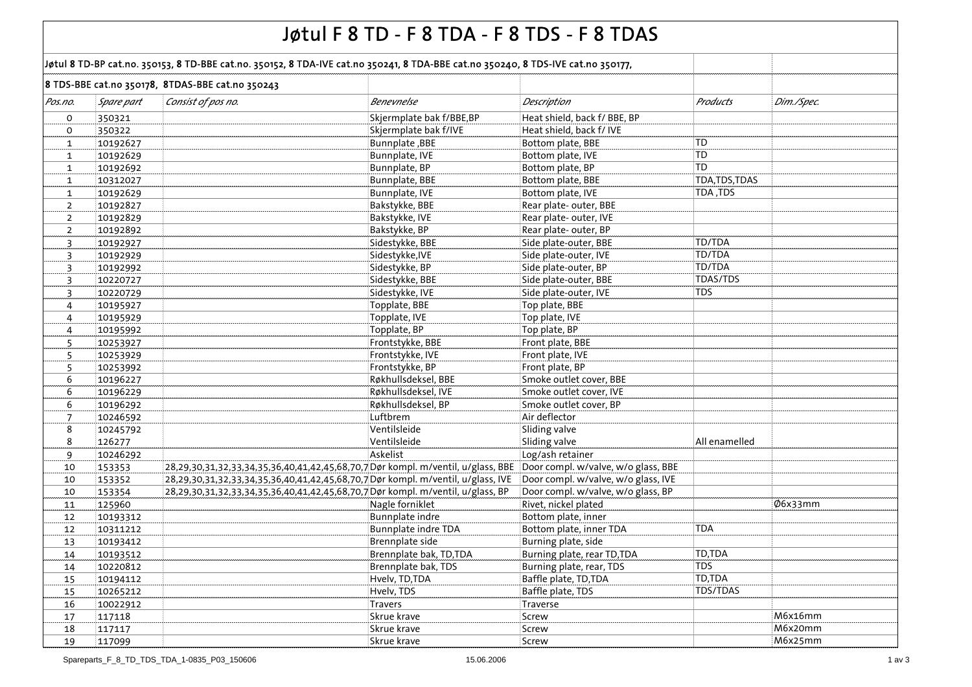|                |            |                                                                                                                                   | Jøtul F 8 TD - F 8 TDA - F 8 TDS - F 8 TDAS |                                                |                |            |
|----------------|------------|-----------------------------------------------------------------------------------------------------------------------------------|---------------------------------------------|------------------------------------------------|----------------|------------|
|                |            | Jøtul 8 TD-BP cat.no. 350153, 8 TD-BBE cat.no. 350152, 8 TDA-IVE cat.no 350241, 8 TDA-BBE cat.no 350240, 8 TDS-IVE cat.no 350177, |                                             |                                                |                |            |
|                |            | 8 TDS-BBE cat.no 350178, 8TDAS-BBE cat.no 350243                                                                                  |                                             |                                                |                |            |
| Pos.no.        | Spare part | Consist of pos no.                                                                                                                | Benevnelse                                  | Description                                    | Products       | Dim./Spec. |
| o              | 350321     |                                                                                                                                   | Skjermplate bak f/BBE,BP                    | Heat shield, back f/ BBE, BP                   |                |            |
| O              | 350322     |                                                                                                                                   | Skjermplate bak f/IVE                       | Heat shield, back f/ IVE                       |                |            |
| $\mathbf{1}$   | 10192627   |                                                                                                                                   | Bunnplate, BBE                              | Bottom plate, BBE                              | <b>TD</b>      |            |
| $\mathbf{1}$   | 10192629   |                                                                                                                                   | Bunnplate, IVE                              | Bottom plate, IVE                              | <b>TD</b>      |            |
| $\mathbf{1}$   | 10192692   |                                                                                                                                   | Bunnplate, BP                               | Bottom plate, BP                               | TD             |            |
| $\mathbf{1}$   | 10312027   |                                                                                                                                   | Bunnplate, BBE                              | Bottom plate, BBE                              | TDA, TDS, TDAS |            |
| $\mathbf{1}$   | 10192629   |                                                                                                                                   | Bunnplate, IVE                              | Bottom plate, IVE                              | TDA, TDS       |            |
| $\overline{2}$ | 10192827   |                                                                                                                                   | Bakstykke, BBE                              | Rear plate-outer, BBE                          |                |            |
| $\overline{2}$ | 10192829   |                                                                                                                                   | Bakstykke, IVE                              | Rear plate- outer, IVE                         |                |            |
| $\overline{2}$ | 10192892   |                                                                                                                                   | Bakstykke, BP                               | Rear plate-outer, BP                           |                |            |
|                | 10192927   |                                                                                                                                   | Sidestykke, BBE                             | Side plate-outer, BBE                          | TD/TDA         |            |
| 3              |            |                                                                                                                                   | Sidestykke, IVE                             | Side plate-outer, IVE                          | TD/TDA         |            |
| $\overline{3}$ | 10192929   |                                                                                                                                   | Sidestykke, BP                              | Side plate-outer, BP                           | TD/TDA         |            |
| 3              | 10192992   |                                                                                                                                   |                                             |                                                | TDAS/TDS       |            |
| 3              | 10220727   |                                                                                                                                   | Sidestykke, BBE                             | Side plate-outer, BBE<br>Side plate-outer, IVE | TDS            |            |
| 3              | 10220729   |                                                                                                                                   | Sidestykke, IVE                             |                                                |                |            |
| 4              | 10195927   |                                                                                                                                   | Topplate, BBE                               | Top plate, BBE                                 |                |            |
| 4              | 10195929   |                                                                                                                                   | Topplate, IVE                               | Top plate, IVE                                 |                |            |
| 4              | 10195992   |                                                                                                                                   | Topplate, BP                                | Top plate, BP                                  |                |            |
| 5              | 10253927   |                                                                                                                                   | Frontstykke, BBE                            | Front plate, BBE                               |                |            |
| 5              | 10253929   |                                                                                                                                   | Frontstykke, IVE                            | Front plate, IVE                               |                |            |
| 5              | 10253992   |                                                                                                                                   | Frontstykke, BP                             | Front plate, BP                                |                |            |
| 6              | 10196227   |                                                                                                                                   | Røkhullsdeksel, BBE                         | Smoke outlet cover, BBE                        |                |            |
| 6              | 10196229   |                                                                                                                                   | Røkhullsdeksel, IVE                         | Smoke outlet cover, IVE                        |                |            |
| 6              | 10196292   |                                                                                                                                   | Røkhullsdeksel, BP                          | Smoke outlet cover, BP                         |                |            |
| $\overline{7}$ | 10246592   |                                                                                                                                   | Luftbrem                                    | Air deflector                                  |                |            |
| 8              | 10245792   |                                                                                                                                   | Ventilsleide                                | Sliding valve                                  |                |            |
| 8              | 126277     |                                                                                                                                   | Ventilsleide                                | Sliding valve                                  | All enamelled  |            |
| 9              | 10246292   |                                                                                                                                   | Askelist                                    | Log/ash retainer                               |                |            |
| 10             | 153353     | 28,29,30,31,32,33,34,35,36,40,41,42,45,68,70,7 Dør kompl. m/ventil, u/glass, BBE                                                  |                                             | Door compl. w/valve, w/o glass, BBE            |                |            |
| 10             | 153352     | 28,29,30,31,32,33,34,35,36,40,41,42,45,68,70,7 Dør kompl. m/ventil, u/glass, IVE                                                  |                                             | Door compl. w/valve, w/o glass, IVE            |                |            |
| 10             | 153354     | 28,29,30,31,32,33,34,35,36,40,41,42,45,68,70,7 Dør kompl. m/ventil, u/glass, BP                                                   |                                             | Door compl. w/valve, w/o glass, BP             |                |            |
| 11             | 125960     |                                                                                                                                   | Nagle forniklet                             | Rivet, nickel plated                           |                | Ø6x33mm    |
| 12             | 10193312   |                                                                                                                                   | Bunnplate indre                             | Bottom plate, inner                            |                |            |
| 12             | 10311212   |                                                                                                                                   | Bunnplate indre TDA                         | Bottom plate, inner TDA                        | <b>TDA</b>     |            |
| 13             | 10193412   |                                                                                                                                   | Brennplate side                             | Burning plate, side                            |                |            |
| 14             | 10193512   |                                                                                                                                   | Brennplate bak, TD, TDA                     | Burning plate, rear TD, TDA                    | TD, TDA        |            |
| 14             | 10220812   |                                                                                                                                   | Brennplate bak, TDS                         | Burning plate, rear, TDS                       | <b>TDS</b>     |            |
| 15             | 10194112   |                                                                                                                                   | Hvelv, TD, TDA                              | Baffle plate, TD, TDA                          | TD,TDA         |            |
| 15             | 10265212   |                                                                                                                                   | Hvelv, TDS                                  | Baffle plate, TDS                              | TDS/TDAS       |            |
| 16             | 10022912   |                                                                                                                                   | Travers                                     | Traverse                                       |                |            |
| 17             | 117118     |                                                                                                                                   | Skrue krave                                 | Screw                                          |                | M6x16mm    |
| 18             | 117117     |                                                                                                                                   | Skrue krave                                 | Screw                                          |                | M6x20mm    |
| 19             | 117099     |                                                                                                                                   | Skrue krave                                 | Screw                                          |                | M6x25mm    |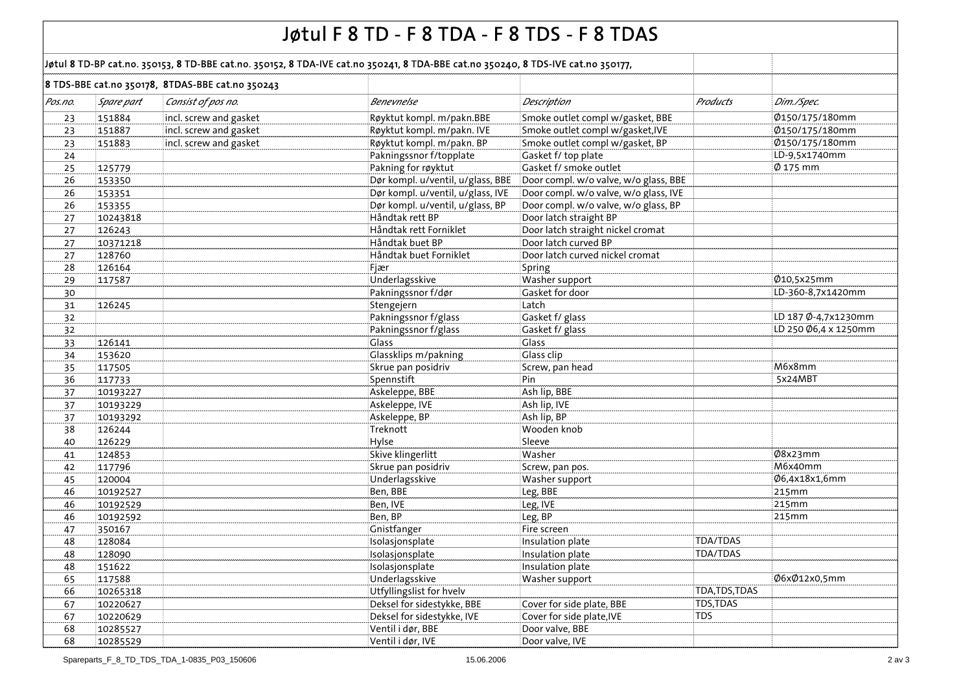| Jøtul F 8 TD - F 8 TDA - F 8 TDS - F 8 TDAS |                                                                                                                                   |                                                  |                                   |                                       |                 |                      |  |  |  |
|---------------------------------------------|-----------------------------------------------------------------------------------------------------------------------------------|--------------------------------------------------|-----------------------------------|---------------------------------------|-----------------|----------------------|--|--|--|
|                                             | Jøtul 8 TD-BP cat.no. 350153, 8 TD-BBE cat.no. 350152, 8 TDA-IVE cat.no 350241, 8 TDA-BBE cat.no 350240, 8 TDS-IVE cat.no 350177, |                                                  |                                   |                                       |                 |                      |  |  |  |
|                                             |                                                                                                                                   | 8 TDS-BBE cat.no 350178, 8TDAS-BBE cat.no 350243 |                                   |                                       |                 |                      |  |  |  |
| Pos.no.                                     | Spare part                                                                                                                        | Consist of pos no.                               | Benevnelse                        | Description                           | <b>Products</b> | Dim./Spec.           |  |  |  |
| 23                                          | 151884                                                                                                                            | incl. screw and gasket                           | Røyktut kompl. m/pakn.BBE         | Smoke outlet compl w/gasket, BBE      |                 | Ø150/175/180mm       |  |  |  |
| 23                                          | 151887                                                                                                                            | incl. screw and gasket                           | Røyktut kompl. m/pakn. IVE        | Smoke outlet compl w/gasket, IVE      |                 | Ø150/175/180mm       |  |  |  |
| 23                                          | 151883                                                                                                                            | incl. screw and gasket                           | Røyktut kompl. m/pakn. BP         | Smoke outlet compl w/gasket, BP       |                 | Ø150/175/180mm       |  |  |  |
| 24                                          |                                                                                                                                   |                                                  | Pakningssnor f/topplate           | Gasket f/ top plate                   |                 | LD-9,5x1740mm        |  |  |  |
| 25                                          | 125779                                                                                                                            |                                                  | Pakning for røyktut               | Gasket f/ smoke outlet                |                 | $\phi$ 175 mm        |  |  |  |
| 26                                          | 153350                                                                                                                            |                                                  | Dør kompl. u/ventil, u/glass, BBE | Door compl. w/o valve, w/o glass, BBE |                 |                      |  |  |  |
| 26                                          | 153351                                                                                                                            |                                                  | Dør kompl. u/ventil, u/glass, IVE | Door compl. w/o valve, w/o glass, IVE |                 |                      |  |  |  |
| 26                                          | 153355                                                                                                                            |                                                  | Dør kompl. u/ventil, u/glass, BP  | Door compl. w/o valve, w/o glass, BP  |                 |                      |  |  |  |
| 27                                          | 10243818                                                                                                                          |                                                  | Håndtak rett BP                   | Door latch straight BP                |                 |                      |  |  |  |
| 27                                          | 126243                                                                                                                            |                                                  | Håndtak rett Forniklet            | Door latch straight nickel cromat     |                 |                      |  |  |  |
| 27                                          | 10371218                                                                                                                          |                                                  | Håndtak buet BP                   | Door latch curved BP                  |                 |                      |  |  |  |
| 27                                          | 128760                                                                                                                            |                                                  | Håndtak buet Forniklet            | Door latch curved nickel cromat       |                 |                      |  |  |  |
| 28                                          | 126164                                                                                                                            |                                                  | Fjær                              | Spring                                |                 |                      |  |  |  |
| 29                                          | 117587                                                                                                                            |                                                  | Underlagsskive                    | Washer support                        |                 | Ø10,5x25mm           |  |  |  |
| 30                                          |                                                                                                                                   |                                                  | Pakningssnor f/dør                | Gasket for door                       |                 | LD-360-8,7x1420mm    |  |  |  |
| 31                                          | 126245                                                                                                                            |                                                  | Stengejern                        | Latch                                 |                 |                      |  |  |  |
| 32                                          |                                                                                                                                   |                                                  | Pakningssnor f/glass              | Gasket f/ glass                       |                 | LD 187 Ø-4,7x1230mm  |  |  |  |
| 32                                          |                                                                                                                                   |                                                  | Pakningssnor f/glass              | Gasket f/ glass                       |                 | LD 250 Ø6,4 x 1250mm |  |  |  |
| 33                                          | 126141                                                                                                                            |                                                  | Glass                             | Glass                                 |                 |                      |  |  |  |
| 34                                          | 153620                                                                                                                            |                                                  | Glassklips m/pakning              | Glass clip                            |                 |                      |  |  |  |
| 35                                          | 117505                                                                                                                            |                                                  | Skrue pan posidriv                | Screw, pan head                       |                 | M6x8mm               |  |  |  |
| 36                                          | 117733                                                                                                                            |                                                  | Spennstift                        | Pin                                   |                 | 5x24MBT              |  |  |  |
| 37                                          | 10193227                                                                                                                          |                                                  | Askeleppe, BBE                    | Ash lip, BBE                          |                 |                      |  |  |  |
| 37                                          | 10193229                                                                                                                          |                                                  | Askeleppe, IVE                    | Ash lip, IVE                          |                 |                      |  |  |  |
| 37                                          | 10193292                                                                                                                          |                                                  | Askeleppe, BP                     | Ash lip, BP                           |                 |                      |  |  |  |
| 38                                          | 126244                                                                                                                            |                                                  | Treknott                          | Wooden knob                           |                 |                      |  |  |  |
| 40                                          | 126229                                                                                                                            |                                                  | Hylse                             | Sleeve                                |                 |                      |  |  |  |
| 41                                          | 124853                                                                                                                            |                                                  | Skive klingerlitt                 | Washer                                |                 | Ø8x23mm              |  |  |  |
| 42                                          | 117796                                                                                                                            |                                                  | Skrue pan posidriv                | Screw, pan pos.                       |                 | M6x40mm              |  |  |  |
| 45                                          | 120004                                                                                                                            |                                                  | Underlagsskive                    | Washer support                        |                 | Ø6,4x18x1,6mm        |  |  |  |
| 46                                          | 10192527                                                                                                                          |                                                  | Ben, BBE                          | Leg, BBE                              |                 | 215mm                |  |  |  |
| 46                                          | 10192529                                                                                                                          |                                                  | Ben, IVE                          | Leg, IVE                              |                 | 215mm                |  |  |  |
| 46                                          | 10192592                                                                                                                          |                                                  | Ben, BP                           | Leg, BP                               |                 | 215mm                |  |  |  |
| 47                                          | 350167                                                                                                                            |                                                  | Gnistfanger                       | Fire screen                           |                 |                      |  |  |  |
| 48                                          | 128084                                                                                                                            |                                                  | Isolasjonsplate                   | Insulation plate                      | TDA/TDAS        |                      |  |  |  |
| 48                                          | 128090                                                                                                                            |                                                  | Isolasjonsplate                   | Insulation plate                      | <b>TDA/TDAS</b> |                      |  |  |  |
| 48                                          | 151622                                                                                                                            |                                                  | Isolasjonsplate                   | Insulation plate                      |                 |                      |  |  |  |
| 65                                          | 117588                                                                                                                            |                                                  | Underlagsskive                    | Washer support                        |                 | Ø6xØ12x0,5mm         |  |  |  |
| 66                                          | 10265318                                                                                                                          |                                                  | Utfyllingslist for hvelv          |                                       | TDA, TDS, TDAS  |                      |  |  |  |
| 67                                          | 10220627                                                                                                                          |                                                  | Deksel for sidestykke, BBE        | Cover for side plate, BBE             | TDS, TDAS       |                      |  |  |  |
| 67                                          | 10220629                                                                                                                          |                                                  | Deksel for sidestykke, IVE        | Cover for side plate, IVE             | <b>TDS</b>      |                      |  |  |  |
| 68                                          | 10285527                                                                                                                          |                                                  | Ventil i dør, BBE                 | Door valve, BBE                       |                 |                      |  |  |  |
| 68                                          | 10285529                                                                                                                          |                                                  | Ventil i dør, IVE                 | Door valve, IVE                       |                 |                      |  |  |  |
|                                             |                                                                                                                                   |                                                  |                                   |                                       |                 |                      |  |  |  |